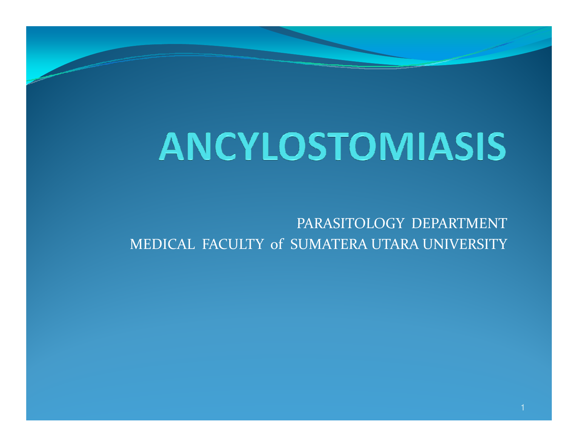PARASITOLOGY DEPARTMENTMEDICAL FACULTY of SUMATERA UTARA UNIVERSITY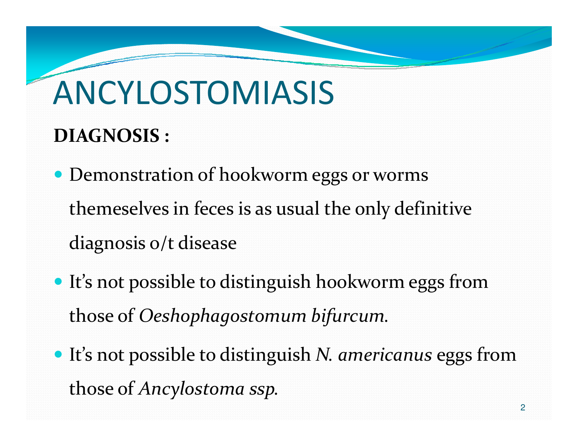#### DIAGNOSIS :

- Demonstration of hookworm eggs or worms themeselves in feces is as usual the only definitive diagnosis o/t disease
- It's not possible to distinguish hookworm eggs fromthose of Oeshophagostomum bifurcum.
- It's not possible to distinguish N. americanus eggs from those of Ancylostoma ssp.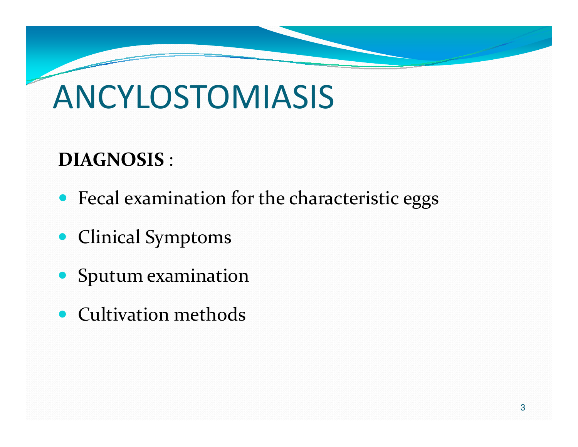### DIAGNOSIS :

- Fecal examination for the characteristic eggs
- Clinical Symptoms
- Sputum examination
- Cultivation methods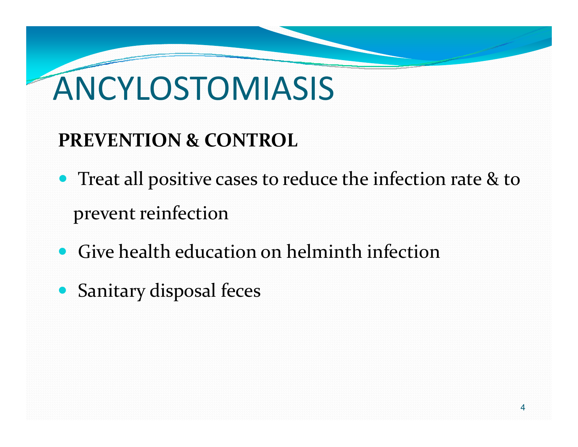#### PREVENTION & CONTROL

- Treat all positive cases to reduce the infection rate & to prevent reinfection
- Give health education on helminth infection
- Sanitary disposal feces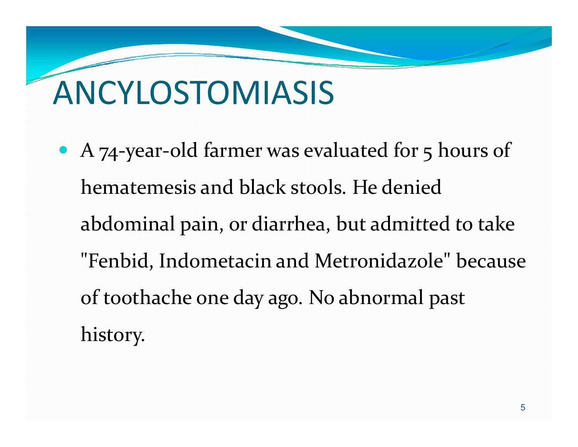• A 74-year-old farmer was evaluated for 5 hours of hematemesis and black stools. He denied abdominal pain, or diarrhea, but admitted to take "Fenbid, Indometacin and Metronidazole" because of toothache one day ago. No abnormal past history.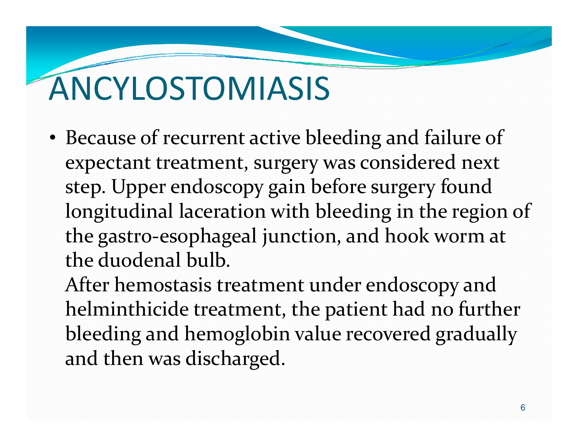• Because of recurrent active bleeding and failure of expectant treatment, surgery was considered next step. Upper endoscopy gain before surgery found longitudinal laceration with bleeding in the region of the gastro-esophageal junction, and hook worm at the duodenal bulb.

After hemostasis treatment under endoscopy and helminthicide treatment, the patient had no further bleeding and hemoglobin value recovered gradually and then was discharged.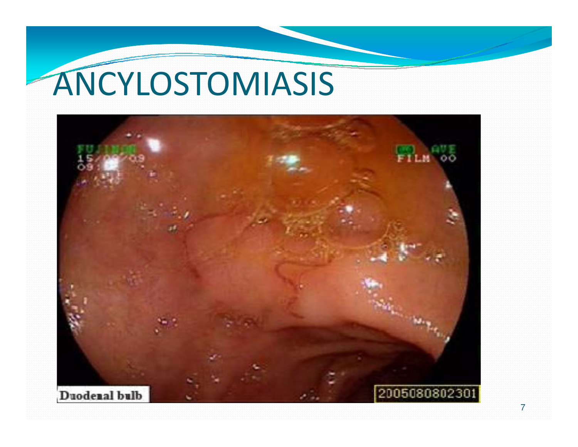